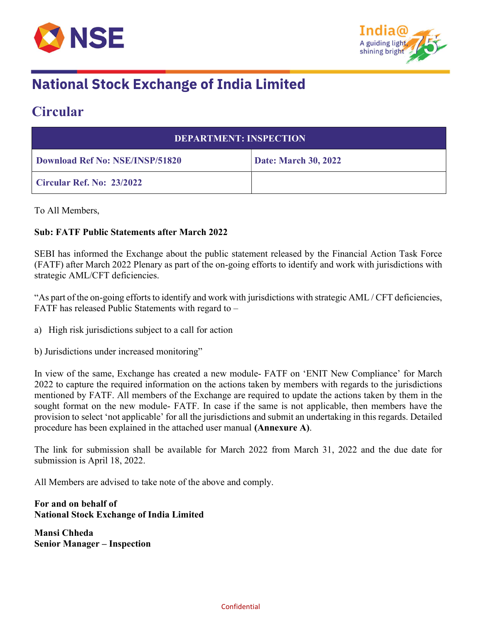



## **National Stock Exchange of India Limited**

### Circular

| <b>DEPARTMENT: INSPECTION</b>   |                             |  |
|---------------------------------|-----------------------------|--|
| Download Ref No: NSE/INSP/51820 | <b>Date: March 30, 2022</b> |  |
| Circular Ref. No: 23/2022       |                             |  |

To All Members,

#### Sub: FATF Public Statements after March 2022

SEBI has informed the Exchange about the public statement released by the Financial Action Task Force (FATF) after March 2022 Plenary as part of the on-going efforts to identify and work with jurisdictions with strategic AML/CFT deficiencies.

"As part of the on-going efforts to identify and work with jurisdictions with strategic AML / CFT deficiencies, FATF has released Public Statements with regard to –

a) High risk jurisdictions subject to a call for action

b) Jurisdictions under increased monitoring"

In view of the same, Exchange has created a new module- FATF on 'ENIT New Compliance' for March 2022 to capture the required information on the actions taken by members with regards to the jurisdictions mentioned by FATF. All members of the Exchange are required to update the actions taken by them in the sought format on the new module- FATF. In case if the same is not applicable, then members have the provision to select 'not applicable' for all the jurisdictions and submit an undertaking in this regards. Detailed procedure has been explained in the attached user manual (Annexure A).

The link for submission shall be available for March 2022 from March 31, 2022 and the due date for submission is April 18, 2022.

All Members are advised to take note of the above and comply.

For and on behalf of National Stock Exchange of India Limited

Mansi Chheda Senior Manager – Inspection